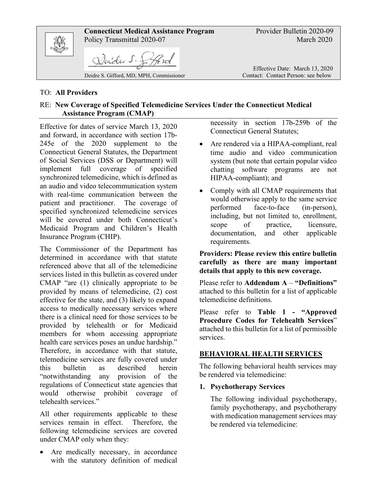

#### TO: **All Providers**

### RE: **New Coverage of Specified Telemedicine Services Under the Connecticut Medical Assistance Program (CMAP)**

Effective for dates of service March 13, 2020 and forward, in accordance with section 17b-245e of the 2020 supplement to the Connecticut General Statutes, the Department of Social Services (DSS or Department) will implement full coverage of specified synchronized telemedicine, which is defined as an audio and video telecommunication system with real-time communication between the patient and practitioner. The coverage of specified synchronized telemedicine services will be covered under both Connecticut's Medicaid Program and Children's Health Insurance Program (CHIP).

The Commissioner of the Department has determined in accordance with that statute referenced above that all of the telemedicine services listed in this bulletin as covered under CMAP "are (1) clinically appropriate to be provided by means of telemedicine, (2) cost effective for the state, and (3) likely to expand access to medically necessary services where there is a clinical need for those services to be provided by telehealth or for Medicaid members for whom accessing appropriate health care services poses an undue hardship." Therefore, in accordance with that statute, telemedicine services are fully covered under this bulletin as described herein "notwithstanding any provision of the regulations of Connecticut state agencies that would otherwise prohibit coverage of telehealth services."

All other requirements applicable to these services remain in effect. Therefore, the following telemedicine services are covered under CMAP only when they:

• Are medically necessary, in accordance with the statutory definition of medical necessity in section 17b-259b of the Connecticut General Statutes;

- Are rendered via a HIPAA-compliant, real time audio and video communication system (but note that certain popular video chatting software programs are not HIPAA-compliant); and
- Comply with all CMAP requirements that would otherwise apply to the same service performed face-to-face (in-person), including, but not limited to, enrollment, scope of practice, licensure, documentation, and other applicable requirements.

**Providers: Please review this entire bulletin carefully as there are many important details that apply to this new coverage.**

Please refer to **Addendum A** – **"Definitions"** attached to this bulletin for a list of applicable telemedicine definitions.

Please refer to **Table 1 - "Approved Procedure Codes for Telehealth Services**" attached to this bulletin for a list of permissible services.

#### **BEHAVIORAL HEALTH SERVICES**

The following behavioral health services may be rendered via telemedicine:

## **1. Psychotherapy Services**

The following individual psychotherapy, family psychotherapy, and psychotherapy with medication management services may be rendered via telemedicine: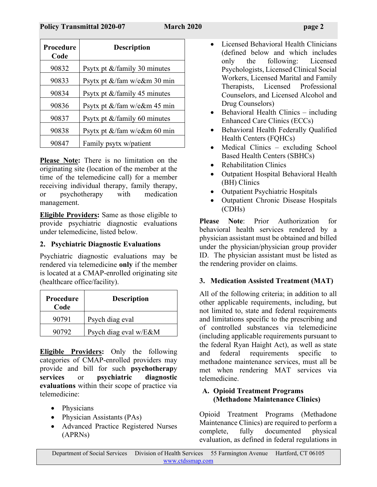| <b>March 2020</b> |  |
|-------------------|--|
|-------------------|--|

| Procedure<br>Code | <b>Description</b>                   |
|-------------------|--------------------------------------|
| 90832             | Psytx pt $\&$ /family 30 minutes     |
| 90833             | Psytx pt $\&$ /fam w/e $\&$ m 30 min |
| 90834             | Psytx pt $&$ family 45 minutes       |
| 90836             | Psytx pt $\&$ /fam w/e $\&$ m 45 min |
| 90837             | Psytx pt $\&$ /family 60 minutes     |
| 90838             | Psytx pt $\&$ /fam w/e $\&$ m 60 min |
| 90847             | Family psytx w/patient               |

**Please Note:** There is no limitation on the originating site (location of the member at the time of the telemedicine call) for a member receiving individual therapy, family therapy, or psychotherapy with medication management.

**Eligible Providers:** Same as those eligible to provide psychiatric diagnostic evaluations under telemedicine, listed below.

### **2. Psychiatric Diagnostic Evaluations**

Psychiatric diagnostic evaluations may be rendered via telemedicine **only** if the member is located at a CMAP-enrolled originating site (healthcare office/facility).

| Procedure<br>Code | <b>Description</b>    |
|-------------------|-----------------------|
| 90791             | Psych diag eval       |
| 90792             | Psych diag eval w/E&M |

**Eligible Providers:** Only the following categories of CMAP-enrolled providers may provide and bill for such **psychotherap**y **services** or **psychiatric diagnostic evaluations** within their scope of practice via telemedicine:

- Physicians
- Physician Assistants (PAs)
- Advanced Practice Registered Nurses (APRNs)
- Licensed Behavioral Health Clinicians (defined below and which includes only the following: Licensed Psychologists, Licensed Clinical Social Workers, Licensed Marital and Family Therapists, Licensed Professional Counselors, and Licensed Alcohol and Drug Counselors)
- Behavioral Health Clinics including Enhanced Care Clinics (ECCs)
- Behavioral Health Federally Qualified Health Centers (FQHCs)
- Medical Clinics excluding School Based Health Centers (SBHCs)
- Rehabilitation Clinics
- Outpatient Hospital Behavioral Health (BH) Clinics
- Outpatient Psychiatric Hospitals
- Outpatient Chronic Disease Hospitals (CDHs)

**Please Note**: Prior Authorization for behavioral health services rendered by a physician assistant must be obtained and billed under the physician/physician group provider ID. The physician assistant must be listed as the rendering provider on claims.

## **3. Medication Assisted Treatment (MAT)**

All of the following criteria; in addition to all other applicable requirements, including, but not limited to, state and federal requirements and limitations specific to the prescribing and of controlled substances via telemedicine (including applicable requirements pursuant to the federal Ryan Haight Act), as well as state and federal requirements specific to methadone maintenance services, must all be met when rendering MAT services via telemedicine.

## **A. Opioid Treatment Programs (Methadone Maintenance Clinics)**

Opioid Treatment Programs (Methadone Maintenance Clinics) are required to perform a complete, fully documented physical evaluation, as defined in federal regulations in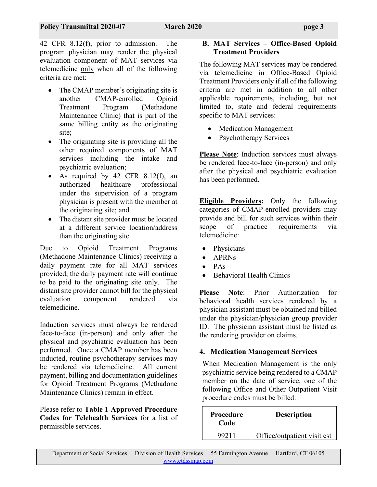42 CFR 8.12(f), prior to admission. The program physician may render the physical evaluation component of MAT services via telemedicine only when all of the following criteria are met:

- The CMAP member's originating site is another CMAP-enrolled Opioid Treatment Program (Methadone Maintenance Clinic) that is part of the same billing entity as the originating site;
- The originating site is providing all the other required components of MAT services including the intake and psychiatric evaluation;
- As required by  $42$  CFR  $8.12(f)$ , an authorized healthcare professional under the supervision of a program physician is present with the member at the originating site; and
- The distant site provider must be located at a different service location/address than the originating site.

Due to Opioid Treatment Programs (Methadone Maintenance Clinics) receiving a daily payment rate for all MAT services provided, the daily payment rate will continue to be paid to the originating site only. The distant site provider cannot bill for the physical evaluation component rendered via telemedicine.

Induction services must always be rendered face-to-face (in-person) and only after the physical and psychiatric evaluation has been performed. Once a CMAP member has been inducted, routine psychotherapy services may be rendered via telemedicine. All current payment, billing and documentation guidelines for Opioid Treatment Programs (Methadone Maintenance Clinics) remain in effect.

Please refer to **Table 1**-**Approved Procedure Codes for Telehealth Services** for a list of permissible services.

#### **B. MAT Services – Office-Based Opioid Treatment Providers**

The following MAT services may be rendered via telemedicine in Office-Based Opioid Treatment Providers only if all of the following criteria are met in addition to all other applicable requirements, including, but not limited to, state and federal requirements specific to MAT services:

- Medication Management
- Psychotherapy Services

**Please Note**: Induction services must always be rendered face-to-face (in-person) and only after the physical and psychiatric evaluation has been performed.

**Eligible Providers:** Only the following categories of CMAP-enrolled providers may provide and bill for such services within their scope of practice requirements via telemedicine:

- **Physicians**
- APRNs
- PAs
- Behavioral Health Clinics

**Please Note**: Prior Authorization for behavioral health services rendered by a physician assistant must be obtained and billed under the physician/physician group provider ID. The physician assistant must be listed as the rendering provider on claims.

#### **4. Medication Management Services**

When Medication Management is the only psychiatric service being rendered to a CMAP member on the date of service, one of the following Office and Other Outpatient Visit procedure codes must be billed:

| <b>Procedure</b><br>Code | <b>Description</b>          |
|--------------------------|-----------------------------|
| 99211                    | Office/outpatient visit est |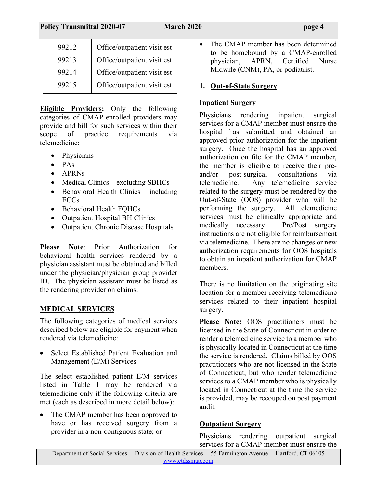| 99212 | Office/outpatient visit est |
|-------|-----------------------------|
| 99213 | Office/outpatient visit est |
| 99214 | Office/outpatient visit est |
| 99215 | Office/outpatient visit est |

**Eligible Providers:** Only the following categories of CMAP-enrolled providers may provide and bill for such services within their scope of practice requirements via telemedicine:

- Physicians
- PAs
- APRNs
- Medical Clinics excluding SBHCs
- Behavioral Health Clinics including ECCs
- Behavioral Health FQHCs
- Outpatient Hospital BH Clinics
- Outpatient Chronic Disease Hospitals

**Please Note**: Prior Authorization for behavioral health services rendered by a physician assistant must be obtained and billed under the physician/physician group provider ID. The physician assistant must be listed as the rendering provider on claims.

# **MEDICAL SERVICES**

The following categories of medical services described below are eligible for payment when rendered via telemedicine:

• Select Established Patient Evaluation and Management (E/M) Services

The select established patient E/M services listed in Table 1 may be rendered via telemedicine only if the following criteria are met (each as described in more detail below):

• The CMAP member has been approved to have or has received surgery from a provider in a non-contiguous state; or

• The CMAP member has been determined to be homebound by a CMAP-enrolled physician, APRN, Certified Nurse Midwife (CNM), PA, or podiatrist.

# **1. Out-of-State Surgery**

# **Inpatient Surgery**

Physicians rendering inpatient surgical services for a CMAP member must ensure the hospital has submitted and obtained an approved prior authorization for the inpatient surgery. Once the hospital has an approved authorization on file for the CMAP member, the member is eligible to receive their preand/or post-surgical consultations via telemedicine. Any telemedicine service related to the surgery must be rendered by the Out-of-State (OOS) provider who will be performing the surgery. All telemedicine services must be clinically appropriate and medically necessary. Pre/Post surgery instructions are not eligible for reimbursement via telemedicine. There are no changes or new authorization requirements for OOS hospitals to obtain an inpatient authorization for CMAP members.

There is no limitation on the originating site location for a member receiving telemedicine services related to their inpatient hospital surgery.

**Please Note:** OOS practitioners must be licensed in the State of Connecticut in order to render a telemedicine service to a member who is physically located in Connecticut at the time the service is rendered. Claims billed by OOS practitioners who are not licensed in the State of Connecticut, but who render telemedicine services to a CMAP member who is physically located in Connecticut at the time the service is provided, may be recouped on post payment audit.

# **Outpatient Surgery**

Physicians rendering outpatient surgical services for a CMAP member must ensure the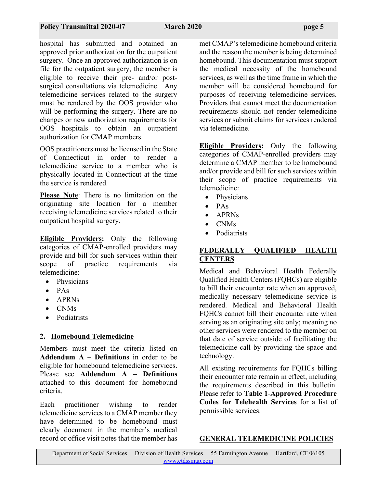hospital has submitted and obtained an approved prior authorization for the outpatient surgery. Once an approved authorization is on file for the outpatient surgery, the member is eligible to receive their pre- and/or postsurgical consultations via telemedicine. Any telemedicine services related to the surgery must be rendered by the OOS provider who will be performing the surgery. There are no changes or new authorization requirements for OOS hospitals to obtain an outpatient authorization for CMAP members.

OOS practitioners must be licensed in the State of Connecticut in order to render a telemedicine service to a member who is physically located in Connecticut at the time the service is rendered.

**Please Note**: There is no limitation on the originating site location for a member receiving telemedicine services related to their outpatient hospital surgery.

**Eligible Providers:** Only the following categories of CMAP-enrolled providers may provide and bill for such services within their scope of practice requirements via telemedicine:

- Physicians
- PAs
- APRNs
- CNMs
- Podiatrists

## **2. Homebound Telemedicine**

Members must meet the criteria listed on **Addendum A – Definitions** in order to be eligible for homebound telemedicine services. Please see **Addendum A – Definitions** attached to this document for homebound criteria.

Each practitioner wishing to render telemedicine services to a CMAP member they have determined to be homebound must clearly document in the member's medical record or office visit notes that the member has

met CMAP's telemedicine homebound criteria and the reason the member is being determined homebound. This documentation must support the medical necessity of the homebound services, as well as the time frame in which the member will be considered homebound for purposes of receiving telemedicine services. Providers that cannot meet the documentation requirements should not render telemedicine services or submit claims for services rendered via telemedicine.

**Eligible Providers:** Only the following categories of CMAP-enrolled providers may determine a CMAP member to be homebound and/or provide and bill for such services within their scope of practice requirements via telemedicine:

- Physicians
- PAs
- APRNs
- CNMs
- Podiatrists

# **FEDERALLY QUALIFIED HEALTH CENTERS**

Medical and Behavioral Health Federally Qualified Health Centers (FQHCs) are eligible to bill their encounter rate when an approved, medically necessary telemedicine service is rendered. Medical and Behavioral Health FQHCs cannot bill their encounter rate when serving as an originating site only; meaning no other services were rendered to the member on that date of service outside of facilitating the telemedicine call by providing the space and technology.

All existing requirements for FQHCs billing their encounter rate remain in effect, including the requirements described in this bulletin. Please refer to **Table 1**-**Approved Procedure Codes for Telehealth Services** for a list of permissible services.

## **GENERAL TELEMEDICINE POLICIES**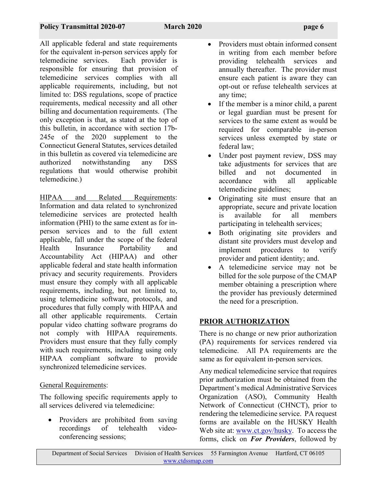All applicable federal and state requirements for the equivalent in-person services apply for telemedicine services. Each provider is responsible for ensuring that provision of telemedicine services complies with all applicable requirements, including, but not limited to: DSS regulations, scope of practice requirements, medical necessity and all other billing and documentation requirements. (The only exception is that, as stated at the top of this bulletin, in accordance with section 17b-245e of the 2020 supplement to the Connecticut General Statutes, services detailed in this bulletin as covered via telemedicine are authorized notwithstanding any DSS regulations that would otherwise prohibit telemedicine.)

HIPAA and Related Requirements: Information and data related to synchronized telemedicine services are protected health information (PHI) to the same extent as for inperson services and to the full extent applicable, fall under the scope of the federal Health Insurance Portability and Accountability Act (HIPAA) and other applicable federal and state health information privacy and security requirements. Providers must ensure they comply with all applicable requirements, including, but not limited to, using telemedicine software, protocols, and procedures that fully comply with HIPAA and all other applicable requirements. Certain popular video chatting software programs do not comply with HIPAA requirements. Providers must ensure that they fully comply with such requirements, including using only HIPAA compliant software to provide synchronized telemedicine services.

## General Requirements:

The following specific requirements apply to all services delivered via telemedicine:

• Providers are prohibited from saving recordings of telehealth videoconferencing sessions;

- Providers must obtain informed consent in writing from each member before providing telehealth services and annually thereafter. The provider must ensure each patient is aware they can opt-out or refuse telehealth services at any time;
- If the member is a minor child, a parent or legal guardian must be present for services to the same extent as would be required for comparable in-person services unless exempted by state or federal law;
- Under post payment review, DSS may take adjustments for services that are billed and not documented in accordance with all applicable telemedicine guidelines;
- Originating site must ensure that an appropriate, secure and private location is available for all members participating in telehealth services;
- Both originating site providers and distant site providers must develop and implement procedures to verify provider and patient identity; and.
- A telemedicine service may not be billed for the sole purpose of the CMAP member obtaining a prescription where the provider has previously determined the need for a prescription.

# **PRIOR AUTHORIZATION**

There is no change or new prior authorization (PA) requirements for services rendered via telemedicine. All PA requirements are the same as for equivalent in-person services.

Any medical telemedicine service that requires prior authorization must be obtained from the Department's medical Administrative Services Organization (ASO), Community Health Network of Connecticut (CHNCT), prior to rendering the telemedicine service. PA request forms are available on the HUSKY Health Web site at: www.ct.gov/husky. To access the forms, click on *For Providers*, followed by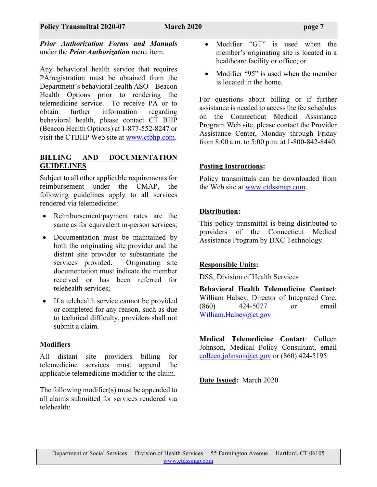*Prior Authorization Forms and Manuals*  under the *Prior Authorization* menu item.

Any behavioral health service that requires PA/registration must be obtained from the Department's behavioral health ASO – Beacon Health Options prior to rendering the telemedicine service. To receive PA or to obtain further information regarding behavioral health, please contact CT BHP (Beacon Health Options) at 1-877-552-8247 or visit the CTBHP Web site at [www.ctbhp.com.](http://www.ctbhp.com/)

# **BILLING AND DOCUMENTATION GUIDELINES**

Subject to all other applicable requirements for reimbursement under the CMAP, the following guidelines apply to all services rendered via telemedicine:

- Reimbursement/payment rates are the same as for equivalent in-person services;
- Documentation must be maintained by both the originating site provider and the distant site provider to substantiate the services provided. Originating site documentation must indicate the member received or has been referred for telehealth services;
- If a telehealth service cannot be provided or completed for any reason, such as due to technical difficulty, providers shall not submit a claim.

## **Modifiers**

All distant site providers billing for telemedicine services must append the applicable telemedicine modifier to the claim.

The following modifier(s) must be appended to all claims submitted for services rendered via telehealth:

- Modifier "GT" is used when the member's originating site is located in a healthcare facility or office; or
- Modifier "95" is used when the member is located in the home.

For questions about billing or if further assistance is needed to access the fee schedules on the Connecticut Medical Assistance Program Web site, please contact the Provider Assistance Center, Monday through Friday from 8:00 a.m. to 5:00 p.m. at 1-800-842-8440.

## **Posting Instructions:**

Policy transmittals can be downloaded from the Web site at [www.ctdssmap.com.](http://www.ctdssmap.com/)

# **Distribution:**

This policy transmittal is being distributed to providers of the Connecticut Medical Assistance Program by DXC Technology.

# **Responsible Units:**

DSS, Division of Health Services

**Behavioral Health Telemedicine Contact**: William Halsey, Director of Integrated Care, (860) 424-5077 or email [William.Halsey@ct.gov](mailto:William.Halsey@ct.gov)

**Medical Telemedicine Contact**: Colleen Johnson, Medical Policy Consultant, email [colleen.johnson@ct.gov](mailto:colleen.johnson@ct.gov) or  $(860)$  424-5195

**Date Issued:** March 2020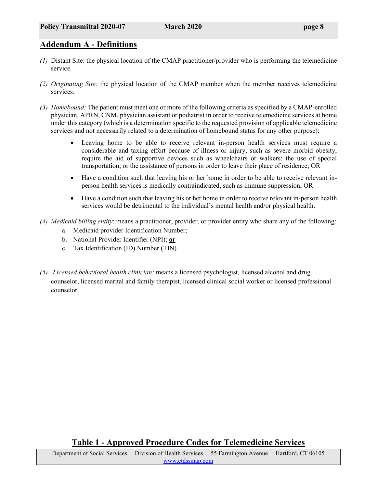# **Addendum A - Definitions**

- *(1)* Distant Site: the physical location of the CMAP practitioner/provider who is performing the telemedicine service.
- *(2) Originating Site:* the physical location of the CMAP member when the member receives telemedicine services.
- *(3) Homebound:* The patient must meet one or more of the following criteria as specified by a CMAP-enrolled physician, APRN, CNM, physician assistant or podiatrist in order to receive telemedicine services at home under this category (which is a determination specific to the requested provision of applicable telemedicine services and not necessarily related to a determination of homebound status for any other purpose):
	- Leaving home to be able to receive relevant in-person health services must require a considerable and taxing effort because of illness or injury, such as severe morbid obesity, require the aid of supportive devices such as wheelchairs or walkers; the use of special transportation; or the assistance of persons in order to leave their place of residence; OR
	- Have a condition such that leaving his or her home in order to be able to receive relevant inperson health services is medically contraindicated, such as immune suppression; OR
	- Have a condition such that leaving his or her home in order to receive relevant in-person health services would be detrimental to the individual's mental health and/or physical health.
- *(4) Medicaid billing entity*: means a practitioner, provider, or provider entity who share any of the following:
	- a. Medicaid provider Identification Number;
	- b. National Provider Identifier (NPI); **or**
	- c. Tax Identification (ID) Number (TIN).
- *(5) Licensed behavioral health clinician:* means a licensed psychologist, licensed alcohol and drug counselor, licensed marital and family therapist, licensed clinical social worker or licensed professional counselor.

# **Table 1 - Approved Procedure Codes for Telemedicine Services**